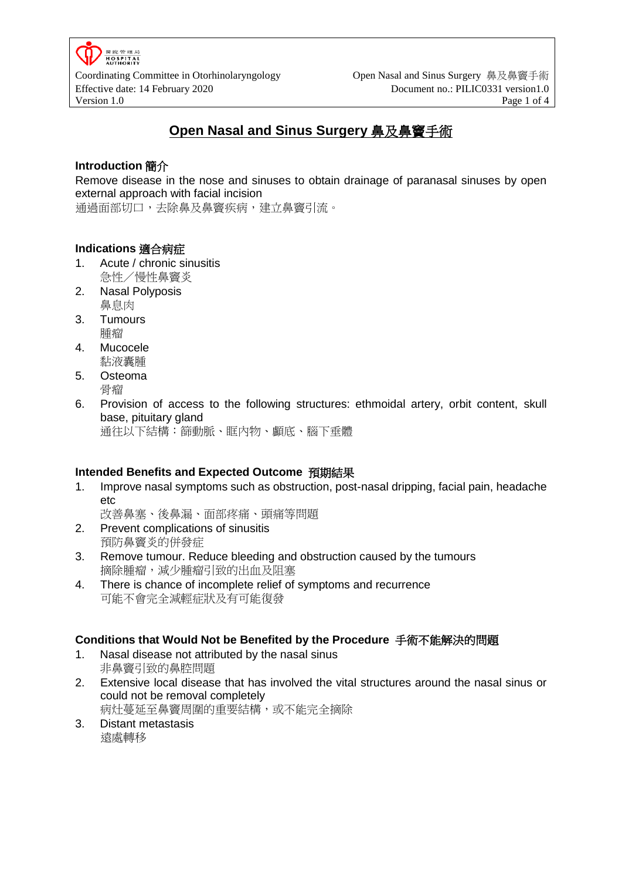

# **Open Nasal and Sinus Surgery** 鼻及鼻竇手術

#### **Introduction** 簡介

Remove disease in the nose and sinuses to obtain drainage of paranasal sinuses by open external approach with facial incision

通過面部切口,去除鼻及鼻竇疾病,建立鼻竇引流。

#### **Indications** 適合病症

- 1. Acute / chronic sinusitis 急性/慢性鼻竇炎
- 2. Nasal Polyposis 鼻息肉
- 3. Tumours 腫瘤
- 4. Mucocele 黏液囊腫
- 5. Osteoma 骨瘤
- 6. Provision of access to the following structures: ethmoidal artery, orbit content, skull base, pituitary gland

通往以下結構:篩動脈、眶內物、顱底、腦下垂體

#### **Intended Benefits and Expected Outcome** 預期結果

- 1. Improve nasal symptoms such as obstruction, post-nasal dripping, facial pain, headache etc
	- 改善鼻塞、後鼻漏、面部疼痛、頭痛等問題
- 2. Prevent complications of sinusitis 預防鼻竇炎的併發症
- 3. Remove tumour. Reduce bleeding and obstruction caused by the tumours 摘除腫瘤,減少腫瘤引致的出血及阻塞
- 4. There is chance of incomplete relief of symptoms and recurrence 可能不會完全減輕症狀及有可能復發

#### **Conditions that Would Not be Benefited by the Procedure** 手術不能解決的問題

- 1. Nasal disease not attributed by the nasal sinus 非鼻竇引致的鼻腔問題
- 2. Extensive local disease that has involved the vital structures around the nasal sinus or could not be removal completely 病灶蔓延至鼻竇周圍的重要結構,或不能完全摘除
- 3. Distant metastasis 遠處轉移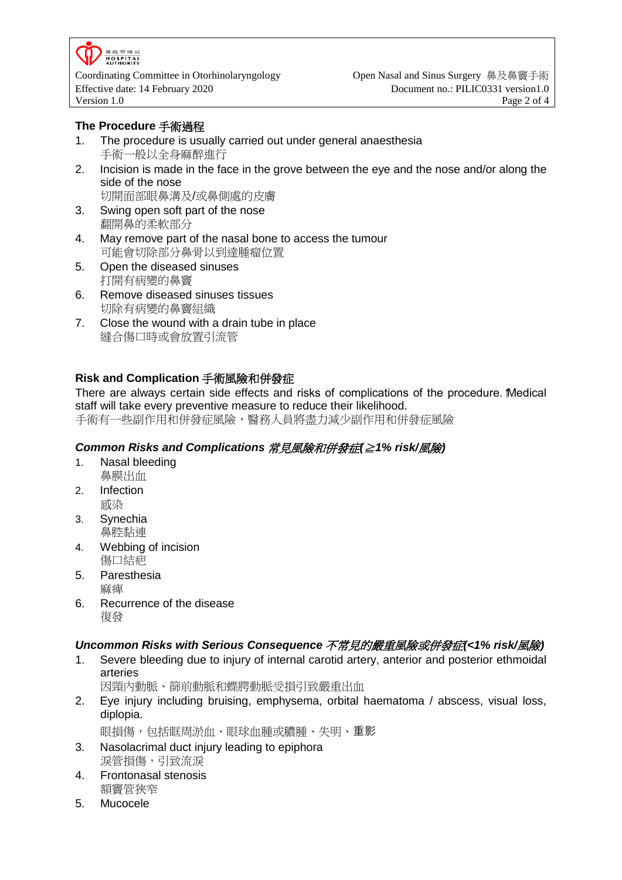

Coordinating Committee in Otorhinolaryngology Open Nasal and Sinus Surgery 鼻及鼻竇手術 Effective date: 14 February 2020 Document no.: PILIC0331 version1.0 Version 1.0 **Page 2 of 4** 

#### **The Procedure** 手術過程

- 1. The procedure is usually carried out under general anaesthesia 手術一般以全身麻醉進行
- 2. Incision is made in the face in the grove between the eye and the nose and/or along the side of the nose
	- 切開面部眼鼻溝及/或鼻側處的皮膚
- 3. Swing open soft part of the nose 翻開鼻的柔軟部分
- 4. May remove part of the nasal bone to access the tumour 可能會切除部分鼻骨以到達腫瘤位置
- 5. Open the diseased sinuses 打開有病變的鼻竇
- 6. Remove diseased sinuses tissues 切除有病變的鼻竇組織
- 7. Close the wound with a drain tube in place 縫合傷口時或會放置引流管

# **Risk and Complication** 手術風險和併發症

There are always certain side effects and risks of complications of the procedure. Medical staff will take every preventive measure to reduce their likelihood.

手術有一些副作用和併發症風險,醫務人員將盡力減少副作用和併發症風險

# *Common Risks and Complications* 常見風險和併發症*(*≧*1% risk/*風險*)*

- 1. Nasal bleeding 鼻膜出血
- 2. Infection 感染
- 3. Synechia 鼻腔黏連
- 4. Webbing of incision 傷口結疤
- 5. Paresthesia 麻痺
- 6. Recurrence of the disease 復發

# *Uncommon Risks with Serious Consequence* 不常見的嚴重風險或併發症*(<1% risk/*風險*)*

1. Severe bleeding due to injury of internal carotid artery, anterior and posterior ethmoidal arteries

因頸內動脈、篩前動脈和蝶腭動脈受損引致嚴重出血

2. Eye injury including bruising, emphysema, orbital haematoma / abscess, visual loss, diplopia.

眼損傷,包括眶周淤血、眼球血腫或膿腫、失明、重影

- 3. Nasolacrimal duct injury leading to epiphora 淚管損傷,引致流淚
- 4. Frontonasal stenosis 額竇管狹窄
- 5. Mucocele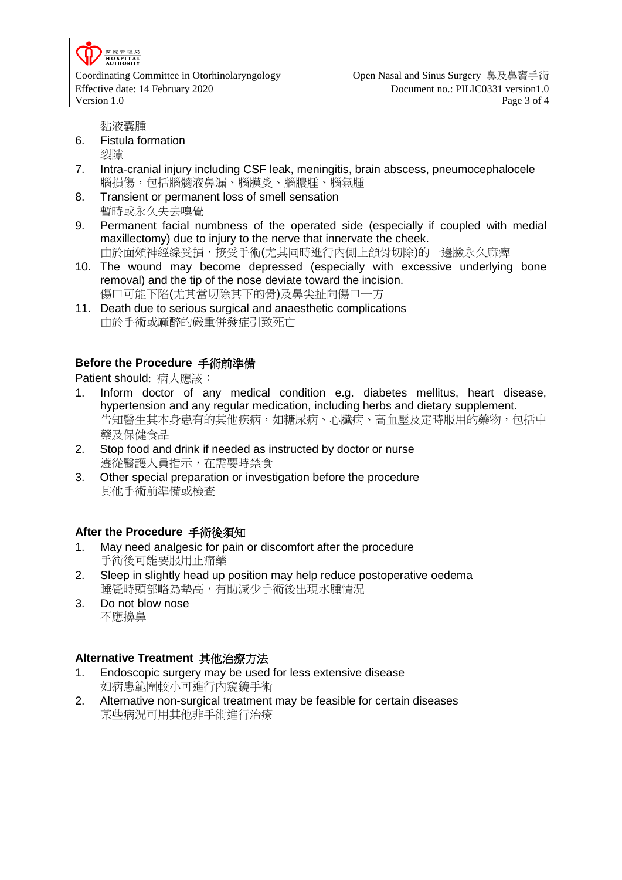

Effective date: 14 February 2020 Document no.: PILIC0331 version1.0 Version 1.0 **Page 3 of 4** 

黏液囊腫

- 6. Fistula formation 裂隙
- 7. Intra-cranial injury including CSF leak, meningitis, brain abscess, pneumocephalocele 腦損傷,包括腦髓液鼻漏、腦膜炎、腦膿腫、腦氣腫
- 8. Transient or permanent loss of smell sensation 暫時或永久失去嗅覺
- 9. Permanent facial numbness of the operated side (especially if coupled with medial maxillectomy) due to injury to the nerve that innervate the cheek. 由於面頰神經線受損,接受手術(尤其同時進行內側上頜骨切除)的一邊臉永久麻痺
- 10. The wound may become depressed (especially with excessive underlying bone removal) and the tip of the nose deviate toward the incision.
- 傷口可能下陷(尤其當切除其下的骨)及鼻尖扯向傷口一方 11. Death due to serious surgical and anaesthetic complications 由於手術或麻醉的嚴重併發症引致死亡

# **Before the Procedure** 手術前準備

Patient should: 病人應該:

- 1. Inform doctor of any medical condition e.g. diabetes mellitus, heart disease, hypertension and any regular medication, including herbs and dietary supplement. 告知醫生其本身患有的其他疾病,如糖尿病、心臟病、高血壓及定時服用的藥物,包括中 藥及保健食品
- 2. Stop food and drink if needed as instructed by doctor or nurse 遵從醫護人員指示,在需要時禁食
- 3. Other special preparation or investigation before the procedure 其他手術前準備或檢查

# **After the Procedure** 手術後須知

- 1. May need analgesic for pain or discomfort after the procedure 手術後可能要服用止痛藥
- 2. Sleep in slightly head up position may help reduce postoperative oedema 睡覺時頭部略為墊高,有助減少手術後出現水腫情況
- 3. Do not blow nose 不應擤鼻

# **Alternative Treatment** 其他治療方法

- 1. Endoscopic surgery may be used for less extensive disease 如病患範圍較小可進行內窺鏡手術
- 2. Alternative non-surgical treatment may be feasible for certain diseases 某些病況可用其他非手術進行治療